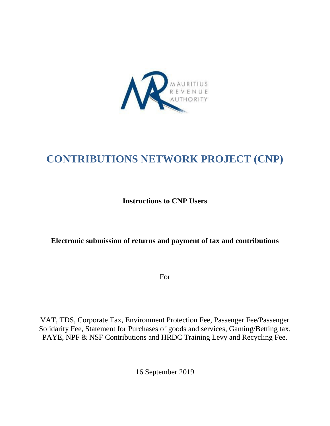

# **CONTRIBUTIONS NETWORK PROJECT (CNP)**

**Instructions to CNP Users**

# **Electronic submission of returns and payment of tax and contributions**

For

VAT, TDS, Corporate Tax, Environment Protection Fee, Passenger Fee/Passenger Solidarity Fee, Statement for Purchases of goods and services, Gaming/Betting tax, PAYE, NPF & NSF Contributions and HRDC Training Levy and Recycling Fee.

16 September 2019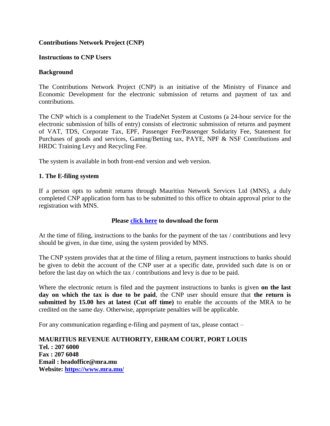## **Contributions Network Project (CNP)**

#### **Instructions to CNP Users**

#### **Background**

The Contributions Network Project (CNP) is an initiative of the Ministry of Finance and Economic Development for the electronic submission of returns and payment of tax and contributions.

The CNP which is a complement to the TradeNet System at Customs (a 24-hour service for the electronic submission of bills of entry) consists of electronic submission of returns and payment of VAT, TDS, Corporate Tax, EPF, Passenger Fee/Passenger Solidarity Fee, Statement for Purchases of goods and services, Gaming/Betting tax, PAYE, NPF & NSF Contributions and HRDC Training Levy and Recycling Fee.

The system is available in both front-end version and web version.

#### **1. The E-filing system**

If a person opts to submit returns through Mauritius Network Services Ltd (MNS), a duly completed CNP application form has to be submitted to this office to obtain approval prior to the registration with MNS.

#### **Please [click here](CNPApplicationForm.pdf) to download the form**

At the time of filing, instructions to the banks for the payment of the tax / contributions and levy should be given, in due time, using the system provided by MNS.

The CNP system provides that at the time of filing a return, payment instructions to banks should be given to debit the account of the CNP user at a specific date, provided such date is on or before the last day on which the tax / contributions and levy is due to be paid.

Where the electronic return is filed and the payment instructions to banks is given **on the last day on which the tax is due to be paid**, the CNP user should ensure that **the return is submitted by 15.00 hrs at latest (Cut off time)** to enable the accounts of the MRA to be credited on the same day. Otherwise, appropriate penalties will be applicable.

For any communication regarding e-filing and payment of tax, please contact –

**MAURITIUS REVENUE AUTHORITY, EHRAM COURT, PORT LOUIS Tel. : 207 6000 Fax : 207 6048 Email : headoffice@mra.mu Website:<https://www.mra.mu/>**